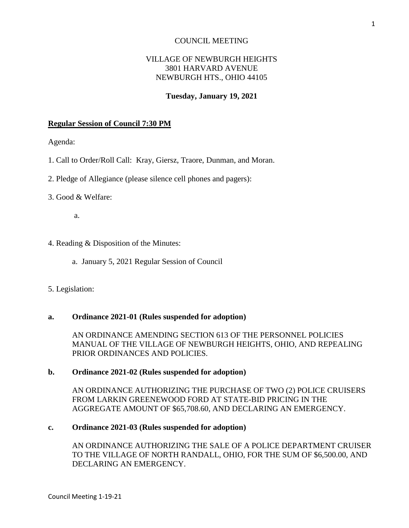### COUNCIL MEETING

# VILLAGE OF NEWBURGH HEIGHTS 3801 HARVARD AVENUE NEWBURGH HTS., OHIO 44105

### **Tuesday, January 19, 2021**

#### **Regular Session of Council 7:30 PM**

Agenda:

- 1. Call to Order/Roll Call: Kray, Giersz, Traore, Dunman, and Moran.
- 2. Pledge of Allegiance (please silence cell phones and pagers):

#### 3. Good & Welfare:

a.

- 4. Reading & Disposition of the Minutes:
	- a. January 5, 2021 Regular Session of Council

### 5. Legislation:

### **a. Ordinance 2021-01 (Rules suspended for adoption)**

AN ORDINANCE AMENDING SECTION 613 OF THE PERSONNEL POLICIES MANUAL OF THE VILLAGE OF NEWBURGH HEIGHTS, OHIO, AND REPEALING PRIOR ORDINANCES AND POLICIES.

#### **b. Ordinance 2021-02 (Rules suspended for adoption)**

AN ORDINANCE AUTHORIZING THE PURCHASE OF TWO (2) POLICE CRUISERS FROM LARKIN GREENEWOOD FORD AT STATE-BID PRICING IN THE AGGREGATE AMOUNT OF \$65,708.60, AND DECLARING AN EMERGENCY.

### **c. Ordinance 2021-03 (Rules suspended for adoption)**

AN ORDINANCE AUTHORIZING THE SALE OF A POLICE DEPARTMENT CRUISER TO THE VILLAGE OF NORTH RANDALL, OHIO, FOR THE SUM OF \$6,500.00, AND DECLARING AN EMERGENCY.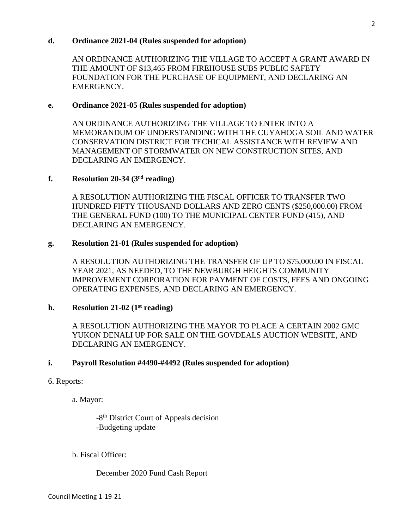### **d. Ordinance 2021-04 (Rules suspended for adoption)**

AN ORDINANCE AUTHORIZING THE VILLAGE TO ACCEPT A GRANT AWARD IN THE AMOUNT OF \$13,465 FROM FIREHOUSE SUBS PUBLIC SAFETY FOUNDATION FOR THE PURCHASE OF EQUIPMENT, AND DECLARING AN EMERGENCY.

## **e. Ordinance 2021-05 (Rules suspended for adoption)**

AN ORDINANCE AUTHORIZING THE VILLAGE TO ENTER INTO A MEMORANDUM OF UNDERSTANDING WITH THE CUYAHOGA SOIL AND WATER CONSERVATION DISTRICT FOR TECHICAL ASSISTANCE WITH REVIEW AND MANAGEMENT OF STORMWATER ON NEW CONSTRUCTION SITES, AND DECLARING AN EMERGENCY.

## **f. Resolution 20-34 (3 rd reading)**

A RESOLUTION AUTHORIZING THE FISCAL OFFICER TO TRANSFER TWO HUNDRED FIFTY THOUSAND DOLLARS AND ZERO CENTS (\$250,000.00) FROM THE GENERAL FUND (100) TO THE MUNICIPAL CENTER FUND (415), AND DECLARING AN EMERGENCY.

## **g. Resolution 21-01 (Rules suspended for adoption)**

A RESOLUTION AUTHORIZING THE TRANSFER OF UP TO \$75,000.00 IN FISCAL YEAR 2021, AS NEEDED, TO THE NEWBURGH HEIGHTS COMMUNITY IMPROVEMENT CORPORATION FOR PAYMENT OF COSTS, FEES AND ONGOING OPERATING EXPENSES, AND DECLARING AN EMERGENCY.

# **h. Resolution 21-02 (1st reading)**

A RESOLUTION AUTHORIZING THE MAYOR TO PLACE A CERTAIN 2002 GMC YUKON DENALI UP FOR SALE ON THE GOVDEALS AUCTION WEBSITE, AND DECLARING AN EMERGENCY.

### **i. Payroll Resolution #4490-#4492 (Rules suspended for adoption)**

### 6. Reports:

a. Mayor:

-8<sup>th</sup> District Court of Appeals decision -Budgeting update

b. Fiscal Officer:

December 2020 Fund Cash Report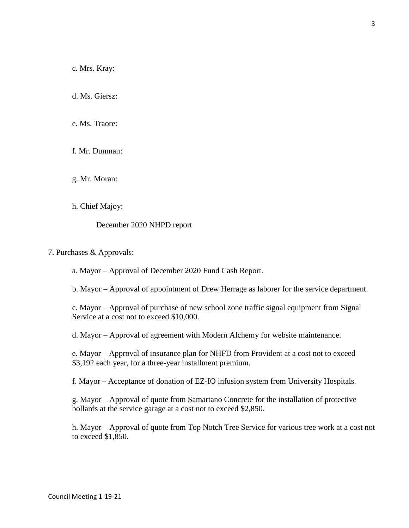c. Mrs. Kray:

d. Ms. Giersz:

e. Ms. Traore:

f. Mr. Dunman:

g. Mr. Moran:

h. Chief Majoy:

December 2020 NHPD report

7. Purchases & Approvals:

a. Mayor – Approval of December 2020 Fund Cash Report.

b. Mayor – Approval of appointment of Drew Herrage as laborer for the service department.

c. Mayor – Approval of purchase of new school zone traffic signal equipment from Signal Service at a cost not to exceed \$10,000.

d. Mayor – Approval of agreement with Modern Alchemy for website maintenance.

e. Mayor – Approval of insurance plan for NHFD from Provident at a cost not to exceed \$3,192 each year, for a three-year installment premium.

f. Mayor – Acceptance of donation of EZ-IO infusion system from University Hospitals.

g. Mayor – Approval of quote from Samartano Concrete for the installation of protective bollards at the service garage at a cost not to exceed \$2,850.

h. Mayor – Approval of quote from Top Notch Tree Service for various tree work at a cost not to exceed \$1,850.